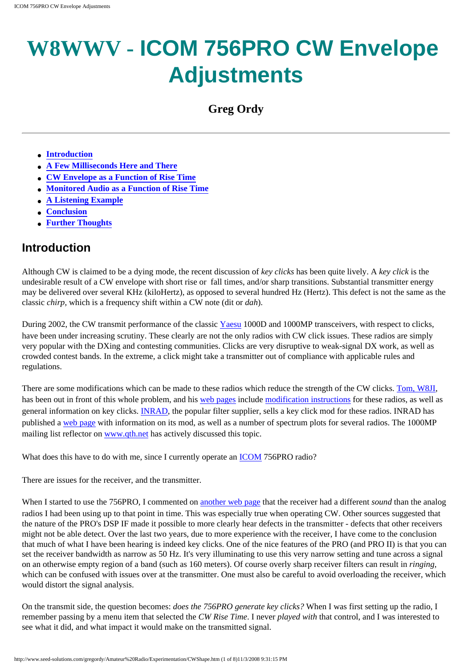# **W8WWV - ICOM 756PRO CW Envelope Adjustments**

**Greg Ordy**

- **[Introduction](#page-0-0)**
- **[A Few Milliseconds Here and There](#page-1-0)**
- **[CW Envelope as a Function of Rise Time](#page-2-0)**
- **[Monitored Audio as a Function of Rise Time](#page-3-0)**
- **[A Listening Example](#page-5-0)**
- **[Conclusion](#page-6-0)**
- **[Further Thoughts](#page-6-1)**

### <span id="page-0-0"></span>**Introduction**

Although CW is claimed to be a dying mode, the recent discussion of *key clicks* has been quite lively. A *key click* is the undesirable result of a CW envelope with short rise or fall times, and/or sharp transitions. Substantial transmitter energy may be delivered over several KHz (kiloHertz), as opposed to several hundred Hz (Hertz). This defect is not the same as the classic *chirp*, which is a frequency shift within a CW note (dit or *dah*).

During 2002, the CW transmit performance of the classic [Yaesu](http://www.yaesu.com/amateur/amateur.html) 1000D and 1000MP transceivers, with respect to clicks, have been under increasing scrutiny. These clearly are not the only radios with CW click issues. These radios are simply very popular with the DXing and contesting communities. Clicks are very disruptive to weak-signal DX work, as well as crowded contest bands. In the extreme, a click might take a transmitter out of compliance with applicable rules and regulations.

There are some modifications which can be made to these radios which reduce the strength of the CW clicks. [Tom, W8JI](http://www.w8ji.com/), has been out in front of this whole problem, and his [web pages](http://www.w8ji.com/keyclicks.htm) include [modification instructions](http://www.w8ji.com/keyclick_mp.htm) for these radios, as well as general information on key clicks. [INRAD,](http://www.qth.com/inrad/) the popular filter supplier, sells a key click mod for these radios. INRAD has published a [web page](http://www.qth.com/inrad/about-key-clicks.pdf) with information on its mod, as well as a number of spectrum plots for several radios. The 1000MP mailing list reflector on [www.qth.net](http://www.qth.net/) has actively discussed this topic.

What does this have to do with me, since I currently operate an [ICOM](http://www.icomamerica.com/) 756PRO radio?

There are issues for the receiver, and the transmitter.

When I started to use the 756PRO, I commented on [another web page](http://www.seed-solutions.com/gregordy/Amateur%20Radio/Experimentation/CWFilter.htm) that the receiver had a different *sound* than the analog radios I had been using up to that point in time. This was especially true when operating CW. Other sources suggested that the nature of the PRO's DSP IF made it possible to more clearly hear defects in the transmitter - defects that other receivers might not be able detect. Over the last two years, due to more experience with the receiver, I have come to the conclusion that much of what I have been hearing is indeed key clicks. One of the nice features of the PRO (and PRO II) is that you can set the receiver bandwidth as narrow as 50 Hz. It's very illuminating to use this very narrow setting and tune across a signal on an otherwise empty region of a band (such as 160 meters). Of course overly sharp receiver filters can result in *ringing*, which can be confused with issues over at the transmitter. One must also be careful to avoid overloading the receiver, which would distort the signal analysis.

On the transmit side, the question becomes: *does the 756PRO generate key clicks?* When I was first setting up the radio, I remember passing by a menu item that selected the *CW Rise Time*. I never *played with* that control, and I was interested to see what it did, and what impact it would make on the transmitted signal.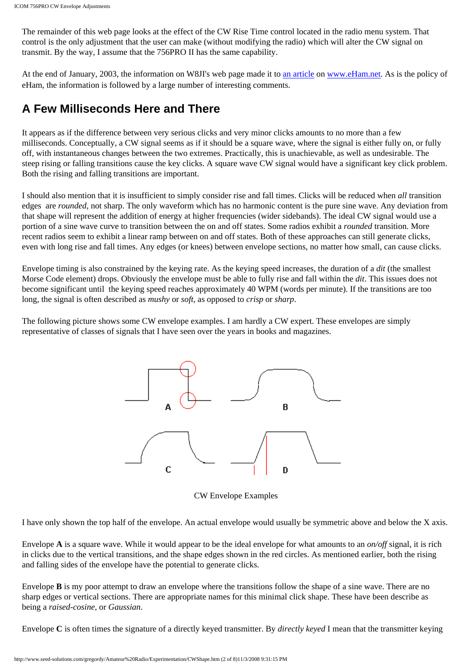The remainder of this web page looks at the effect of the CW Rise Time control located in the radio menu system. That control is the only adjustment that the user can make (without modifying the radio) which will alter the CW signal on transmit. By the way, I assume that the 756PRO II has the same capability.

At the end of January, 2003, the information on W8JI's web page made it to [an article](http://www.eham.net/articles/4691) on [www.eHam.net.](http://www.eham.net/) As is the policy of eHam, the information is followed by a large number of interesting comments.

### <span id="page-1-0"></span>**A Few Milliseconds Here and There**

It appears as if the difference between very serious clicks and very minor clicks amounts to no more than a few milliseconds. Conceptually, a CW signal seems as if it should be a square wave, where the signal is either fully on, or fully off, with instantaneous changes between the two extremes. Practically, this is unachievable, as well as undesirable. The steep rising or falling transitions cause the key clicks. A square wave CW signal would have a significant key click problem. Both the rising and falling transitions are important.

I should also mention that it is insufficient to simply consider rise and fall times. Clicks will be reduced when *all* transition edges are *rounded*, not sharp. The only waveform which has no harmonic content is the pure sine wave. Any deviation from that shape will represent the addition of energy at higher frequencies (wider sidebands). The ideal CW signal would use a portion of a sine wave curve to transition between the on and off states. Some radios exhibit a *rounded* transition. More recent radios seem to exhibit a linear ramp between on and off states. Both of these approaches can still generate clicks, even with long rise and fall times. Any edges (or knees) between envelope sections, no matter how small, can cause clicks.

Envelope timing is also constrained by the keying rate. As the keying speed increases, the duration of a *dit* (the smallest Morse Code element) drops. Obviously the envelope must be able to fully rise and fall within the *dit*. This issues does not become significant until the keying speed reaches approximately 40 WPM (words per minute). If the transitions are too long, the signal is often described as *mushy* or *soft*, as opposed to *crisp* or *sharp*.

The following picture shows some CW envelope examples. I am hardly a CW expert. These envelopes are simply representative of classes of signals that I have seen over the years in books and magazines.



CW Envelope Examples

I have only shown the top half of the envelope. An actual envelope would usually be symmetric above and below the X axis.

Envelope **A** is a square wave. While it would appear to be the ideal envelope for what amounts to an *on/off* signal, it is rich in clicks due to the vertical transitions, and the shape edges shown in the red circles. As mentioned earlier, both the rising and falling sides of the envelope have the potential to generate clicks.

Envelope **B** is my poor attempt to draw an envelope where the transitions follow the shape of a sine wave. There are no sharp edges or vertical sections. There are appropriate names for this minimal click shape. These have been describe as being a *raised-cosine*, or *Gaussian*.

Envelope **C** is often times the signature of a directly keyed transmitter. By *directly keyed* I mean that the transmitter keying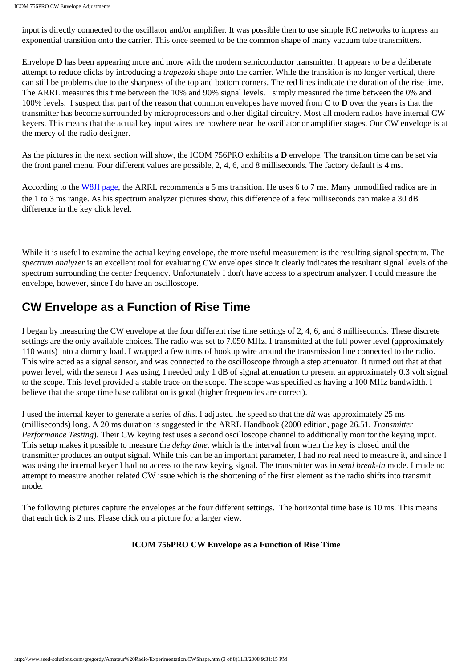input is directly connected to the oscillator and/or amplifier. It was possible then to use simple RC networks to impress an exponential transition onto the carrier. This once seemed to be the common shape of many vacuum tube transmitters.

Envelope **D** has been appearing more and more with the modern semiconductor transmitter. It appears to be a deliberate attempt to reduce clicks by introducing a *trapezoid* shape onto the carrier. While the transition is no longer vertical, there can still be problems due to the sharpness of the top and bottom corners. The red lines indicate the duration of the rise time. The ARRL measures this time between the 10% and 90% signal levels. I simply measured the time between the 0% and 100% levels. I suspect that part of the reason that common envelopes have moved from **C** to **D** over the years is that the transmitter has become surrounded by microprocessors and other digital circuitry. Most all modern radios have internal CW keyers. This means that the actual key input wires are nowhere near the oscillator or amplifier stages. Our CW envelope is at the mercy of the radio designer.

As the pictures in the next section will show, the ICOM 756PRO exhibits a **D** envelope. The transition time can be set via the front panel menu. Four different values are possible, 2, 4, 6, and 8 milliseconds. The factory default is 4 ms.

According to the [W8JI page,](http://www.w8ji.com/keyclick_mp.htm) the ARRL recommends a 5 ms transition. He uses 6 to 7 ms. Many unmodified radios are in the 1 to 3 ms range. As his spectrum analyzer pictures show, this difference of a few milliseconds can make a 30 dB difference in the key click level.

While it is useful to examine the actual keying envelope, the more useful measurement is the resulting signal spectrum. The *spectrum analyzer* is an excellent tool for evaluating CW envelopes since it clearly indicates the resultant signal levels of the spectrum surrounding the center frequency. Unfortunately I don't have access to a spectrum analyzer. I could measure the envelope, however, since I do have an oscilloscope.

# <span id="page-2-0"></span>**CW Envelope as a Function of Rise Time**

I began by measuring the CW envelope at the four different rise time settings of 2, 4, 6, and 8 milliseconds. These discrete settings are the only available choices. The radio was set to 7.050 MHz. I transmitted at the full power level (approximately 110 watts) into a dummy load. I wrapped a few turns of hookup wire around the transmission line connected to the radio. This wire acted as a signal sensor, and was connected to the oscilloscope through a step attenuator. It turned out that at that power level, with the sensor I was using, I needed only 1 dB of signal attenuation to present an approximately 0.3 volt signal to the scope. This level provided a stable trace on the scope. The scope was specified as having a 100 MHz bandwidth. I believe that the scope time base calibration is good (higher frequencies are correct).

I used the internal keyer to generate a series of *dits*. I adjusted the speed so that the *dit* was approximately 25 ms (milliseconds) long. A 20 ms duration is suggested in the ARRL Handbook (2000 edition, page 26.51, *Transmitter Performance Testing*). Their CW keying test uses a second oscilloscope channel to additionally monitor the keying input. This setup makes it possible to measure the *delay time*, which is the interval from when the key is closed until the transmitter produces an output signal. While this can be an important parameter, I had no real need to measure it, and since I was using the internal keyer I had no access to the raw keying signal. The transmitter was in *semi break-in* mode. I made no attempt to measure another related CW issue which is the shortening of the first element as the radio shifts into transmit mode.

The following pictures capture the envelopes at the four different settings. The horizontal time base is 10 ms. This means that each tick is 2 ms. Please click on a picture for a larger view.

#### **ICOM 756PRO CW Envelope as a Function of Rise Time**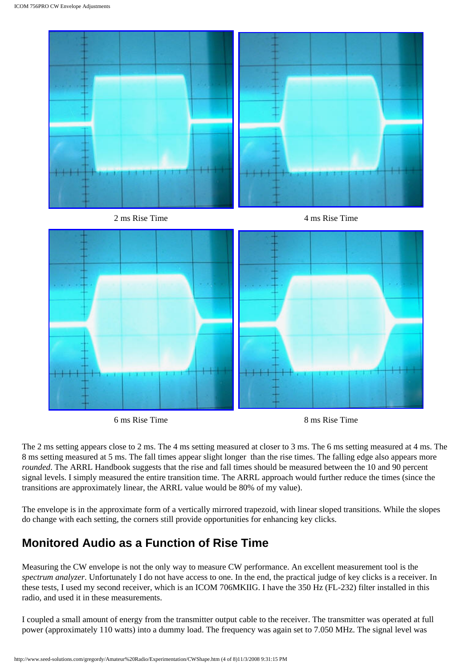

6 ms Rise Time 8 ms Rise Time

The 2 ms setting appears close to 2 ms. The 4 ms setting measured at closer to 3 ms. The 6 ms setting measured at 4 ms. The 8 ms setting measured at 5 ms. The fall times appear slight longer than the rise times. The falling edge also appears more *rounded*. The ARRL Handbook suggests that the rise and fall times should be measured between the 10 and 90 percent signal levels. I simply measured the entire transition time. The ARRL approach would further reduce the times (since the transitions are approximately linear, the ARRL value would be 80% of my value).

The envelope is in the approximate form of a vertically mirrored trapezoid, with linear sloped transitions. While the slopes do change with each setting, the corners still provide opportunities for enhancing key clicks.

## <span id="page-3-0"></span>**Monitored Audio as a Function of Rise Time**

Measuring the CW envelope is not the only way to measure CW performance. An excellent measurement tool is the *spectrum analyzer*. Unfortunately I do not have access to one. In the end, the practical judge of key clicks is a receiver. In these tests, I used my second receiver, which is an ICOM 706MKIIG. I have the 350 Hz (FL-232) filter installed in this radio, and used it in these measurements.

I coupled a small amount of energy from the transmitter output cable to the receiver. The transmitter was operated at full power (approximately 110 watts) into a dummy load. The frequency was again set to 7.050 MHz. The signal level was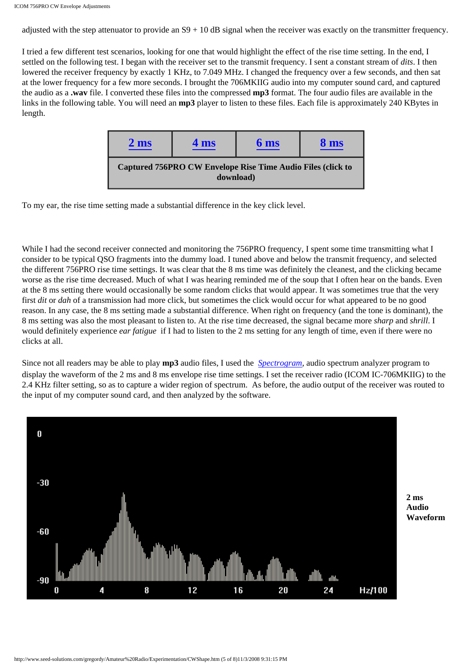adjusted with the step attenuator to provide an S9 + 10 dB signal when the receiver was exactly on the transmitter frequency.

I tried a few different test scenarios, looking for one that would highlight the effect of the rise time setting. In the end, I settled on the following test. I began with the receiver set to the transmit frequency. I sent a constant stream of *dits*. I then lowered the receiver frequency by exactly 1 KHz, to 7.049 MHz. I changed the frequency over a few seconds, and then sat at the lower frequency for a few more seconds. I brought the 706MKIIG audio into my computer sound card, and captured the audio as a **.wav** file. I converted these files into the compressed **mp3** format. The four audio files are available in the links in the following table. You will need an **mp3** player to listen to these files. Each file is approximately 240 KBytes in length.

| $2 \text{ ms}$                                                                 | 4 <sub>ms</sub> | 6 ms | 8 <sub>ms</sub> |  |
|--------------------------------------------------------------------------------|-----------------|------|-----------------|--|
| <b>Captured 756PRO CW Envelope Rise Time Audio Files (click to</b><br>download |                 |      |                 |  |

To my ear, the rise time setting made a substantial difference in the key click level.

While I had the second receiver connected and monitoring the 756PRO frequency. I spent some time transmitting what I consider to be typical QSO fragments into the dummy load. I tuned above and below the transmit frequency, and selected the different 756PRO rise time settings. It was clear that the 8 ms time was definitely the cleanest, and the clicking became worse as the rise time decreased. Much of what I was hearing reminded me of the soup that I often hear on the bands. Even at the 8 ms setting there would occasionally be some random clicks that would appear. It was sometimes true that the very first *dit* or *dah* of a transmission had more click, but sometimes the click would occur for what appeared to be no good reason. In any case, the 8 ms setting made a substantial difference. When right on frequency (and the tone is dominant), the 8 ms setting was also the most pleasant to listen to. At the rise time decreased, the signal became more *sharp* and *shrill*. I would definitely experience *ear fatigue* if I had to listen to the 2 ms setting for any length of time, even if there were no clicks at all.

Since not all readers may be able to play **mp3** audio files, I used the *[Spectrogram](http://www.hitsquad.com/smm/programs/SPECTROGRAM/)*, audio spectrum analyzer program to display the waveform of the 2 ms and 8 ms envelope rise time settings. I set the receiver radio (ICOM IC-706MKIIG) to the 2.4 KHz filter setting, so as to capture a wider region of spectrum. As before, the audio output of the receiver was routed to the input of my computer sound card, and then analyzed by the software.



**2 ms Audio Waveform**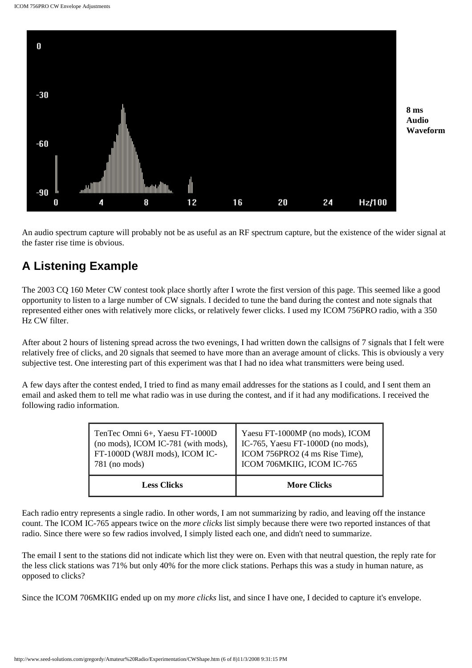

An audio spectrum capture will probably not be as useful as an RF spectrum capture, but the existence of the wider signal at the faster rise time is obvious.

## <span id="page-5-0"></span>**A Listening Example**

The 2003 CQ 160 Meter CW contest took place shortly after I wrote the first version of this page. This seemed like a good opportunity to listen to a large number of CW signals. I decided to tune the band during the contest and note signals that represented either ones with relatively more clicks, or relatively fewer clicks. I used my ICOM 756PRO radio, with a 350 Hz CW filter.

After about 2 hours of listening spread across the two evenings, I had written down the callsigns of 7 signals that I felt were relatively free of clicks, and 20 signals that seemed to have more than an average amount of clicks. This is obviously a very subjective test. One interesting part of this experiment was that I had no idea what transmitters were being used.

A few days after the contest ended, I tried to find as many email addresses for the stations as I could, and I sent them an email and asked them to tell me what radio was in use during the contest, and if it had any modifications. I received the following radio information.

| TenTec Omni 6+, Yaesu FT-1000D      | Yaesu FT-1000MP (no mods), ICOM   |  |
|-------------------------------------|-----------------------------------|--|
| (no mods), ICOM IC-781 (with mods), | IC-765, Yaesu FT-1000D (no mods), |  |
| FT-1000D (W8JI mods), ICOM IC-      | ICOM 756PRO2 (4 ms Rise Time),    |  |
| $781$ (no mods)                     | ICOM 706MKIIG, ICOM IC-765        |  |
| <b>Less Clicks</b>                  | <b>More Clicks</b>                |  |

Each radio entry represents a single radio. In other words, I am not summarizing by radio, and leaving off the instance count. The ICOM IC-765 appears twice on the *more clicks* list simply because there were two reported instances of that radio. Since there were so few radios involved, I simply listed each one, and didn't need to summarize.

The email I sent to the stations did not indicate which list they were on. Even with that neutral question, the reply rate for the less click stations was 71% but only 40% for the more click stations. Perhaps this was a study in human nature, as opposed to clicks?

Since the ICOM 706MKIIG ended up on my *more clicks* list, and since I have one, I decided to capture it's envelope.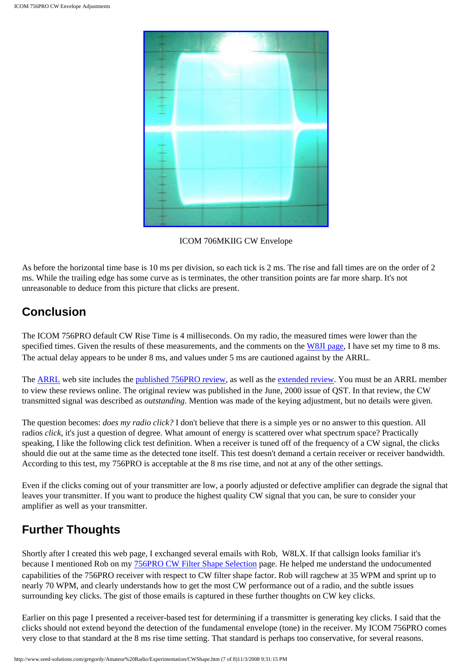

ICOM 706MKIIG CW Envelope

As before the horizontal time base is 10 ms per division, so each tick is 2 ms. The rise and fall times are on the order of 2 ms. While the trailing edge has some curve as is terminates, the other transition points are far more sharp. It's not unreasonable to deduce from this picture that clicks are present.

### <span id="page-6-0"></span>**Conclusion**

The ICOM 756PRO default CW Rise Time is 4 milliseconds. On my radio, the measured times were lower than the specified times. Given the results of these measurements, and the comments on the [W8JI page](http://www.w8ji.com/keyclick_mp.htm), I have set my time to 8 ms. The actual delay appears to be under 8 ms, and values under 5 ms are cautioned against by the ARRL.

The **ARRL** web site includes the published 756PRO review, as well as the extended review. You must be an [ARRL](http://www.arrl.org/) member to view these reviews online. The original review was published in the June, 2000 issue of QST. In that review, the CW transmitted signal was described as *outstanding*. Mention was made of the keying adjustment, but no details were given.

The question becomes: *does my radio click?* I don't believe that there is a simple yes or no answer to this question. All radios *click*, it's just a question of degree. What amount of energy is scattered over what spectrum space? Practically speaking, I like the following click test definition. When a receiver is tuned off of the frequency of a CW signal, the clicks should die out at the same time as the detected tone itself. This test doesn't demand a certain receiver or receiver bandwidth. According to this test, my 756PRO is acceptable at the 8 ms rise time, and not at any of the other settings.

Even if the clicks coming out of your transmitter are low, a poorly adjusted or defective amplifier can degrade the signal that leaves your transmitter. If you want to produce the highest quality CW signal that you can, be sure to consider your amplifier as well as your transmitter.

# <span id="page-6-1"></span>**Further Thoughts**

Shortly after I created this web page, I exchanged several emails with Rob, W8LX. If that callsign looks familiar it's because I mentioned Rob on my [756PRO CW Filter Shape Selection](http://www.seed-solutions.com/gregordy/Amateur%20Radio/Experimentation/CWFilter.htm) page. He helped me understand the undocumented capabilities of the 756PRO receiver with respect to CW filter shape factor. Rob will ragchew at 35 WPM and sprint up to nearly 70 WPM, and clearly understands how to get the most CW performance out of a radio, and the subtle issues surrounding key clicks. The gist of those emails is captured in these further thoughts on CW key clicks.

Earlier on this page I presented a receiver-based test for determining if a transmitter is generating key clicks. I said that the clicks should not extend beyond the detection of the fundamental envelope (tone) in the receiver. My ICOM 756PRO comes very close to that standard at the 8 ms rise time setting. That standard is perhaps too conservative, for several reasons.